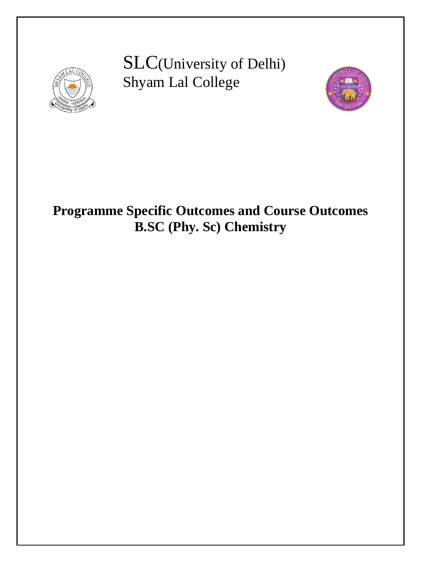

SLC(University of Delhi) Shyam Lal College



# **Programme Specific Outcomes and Course Outcomes B.SC (Phy. Sc) Chemistry**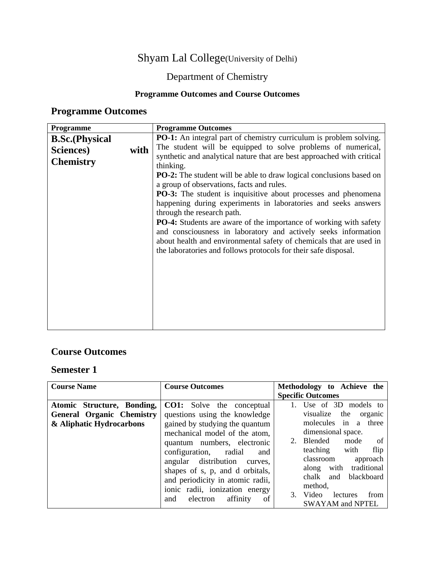### Shyam Lal College(University of Delhi)

### Department of Chemistry

#### **Programme Outcomes and Course Outcomes**

### **Programme Outcomes**

| <b>Programme</b>       |      | <b>Programme Outcomes</b>                                                  |  |  |
|------------------------|------|----------------------------------------------------------------------------|--|--|
| <b>B.Sc.</b> (Physical |      | <b>PO-1:</b> An integral part of chemistry curriculum is problem solving.  |  |  |
| Sciences)              | with | The student will be equipped to solve problems of numerical,               |  |  |
| <b>Chemistry</b>       |      | synthetic and analytical nature that are best approached with critical     |  |  |
|                        |      | thinking.                                                                  |  |  |
|                        |      | <b>PO-2:</b> The student will be able to draw logical conclusions based on |  |  |
|                        |      | a group of observations, facts and rules.                                  |  |  |
|                        |      | <b>PO-3:</b> The student is inquisitive about processes and phenomena      |  |  |
|                        |      | happening during experiments in laboratories and seeks answers             |  |  |
|                        |      | through the research path.                                                 |  |  |
|                        |      | <b>PO-4:</b> Students are aware of the importance of working with safety   |  |  |
|                        |      | and consciousness in laboratory and actively seeks information             |  |  |
|                        |      | about health and environmental safety of chemicals that are used in        |  |  |
|                        |      | the laboratories and follows protocols for their safe disposal.            |  |  |
|                        |      |                                                                            |  |  |
|                        |      |                                                                            |  |  |
|                        |      |                                                                            |  |  |
|                        |      |                                                                            |  |  |
|                        |      |                                                                            |  |  |
|                        |      |                                                                            |  |  |
|                        |      |                                                                            |  |  |
|                        |      |                                                                            |  |  |

#### **Course Outcomes**

| <b>Course Name</b>               | <b>Course Outcomes</b>           | Methodology to Achieve the      |
|----------------------------------|----------------------------------|---------------------------------|
|                                  |                                  | <b>Specific Outcomes</b>        |
| Atomic Structure, Bonding,       | <b>CO1:</b> Solve the conceptual | Use of 3D models to             |
| <b>General Organic Chemistry</b> | questions using the knowledge    | visualize<br>the<br>organic     |
| & Aliphatic Hydrocarbons         | gained by studying the quantum   | molecules in a three            |
|                                  | mechanical model of the atom,    | dimensional space.              |
|                                  | quantum numbers, electronic      | Blended<br>mode<br>of           |
|                                  | configuration, radial<br>and     | teaching with<br>flip           |
|                                  | angular distribution curves,     | classroom<br>approach           |
|                                  | shapes of s, p, and d orbitals,  | traditional<br>along with       |
|                                  | and periodicity in atomic radii, | blackboard<br>chalk<br>and      |
|                                  | ionic radii, ionization energy   | method,                         |
|                                  | and electron<br>affinity         | Video<br>from<br>lectures<br>3. |
|                                  | <sub>of</sub>                    | <b>SWAYAM and NPTEL</b>         |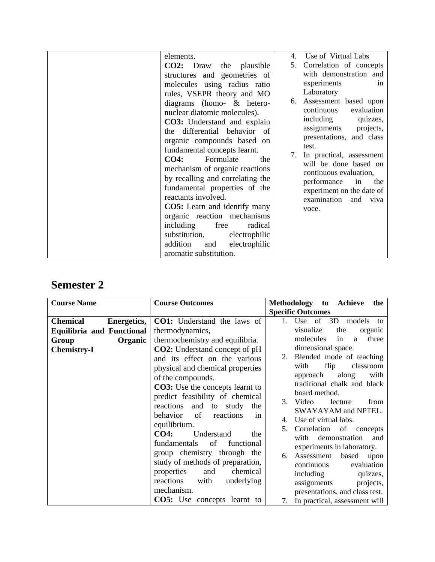| elements.                           | Use of Virtual Labs<br>4.                            |
|-------------------------------------|------------------------------------------------------|
| $CO2:$ Draw<br>the plausible        | Correlation of concepts<br>5.                        |
| structures and geometries of        | with demonstration and                               |
| molecules using radius ratio        | experiments<br>in                                    |
| rules, VSEPR theory and MO          | Laboratory                                           |
| diagrams (homo- & hetero-           | 6. Assessment based upon                             |
| nuclear diatomic molecules).        | continuous<br>evaluation                             |
| <b>CO3:</b> Understand and explain  | including<br>quizzes,                                |
| the differential behavior of        | assignments<br>projects,<br>presentations, and class |
| organic compounds based on          | test.                                                |
| fundamental concepts learnt.        | In practical, assessment<br>7.                       |
| CO4:<br>Formulate<br>the            | will be done based on                                |
| mechanism of organic reactions      | continuous evaluation,                               |
| by recalling and correlating the    | performance<br>the<br>in                             |
| fundamental properties of the       | experiment on the date of                            |
| reactants involved.                 | examination and<br>viva                              |
| <b>CO5:</b> Learn and identify many | voce.                                                |
| organic reaction mechanisms         |                                                      |
| radical<br>including<br>free        |                                                      |
| substitution,<br>electrophilic      |                                                      |
| addition<br>electrophilic<br>and    |                                                      |
| aromatic substitution.              |                                                      |

| <b>Course Name</b>                    | <b>Course Outcomes</b>                 | Methodology<br><b>Achieve</b><br>the<br>to                 |
|---------------------------------------|----------------------------------------|------------------------------------------------------------|
|                                       |                                        | <b>Specific Outcomes</b>                                   |
| <b>Chemical</b><br><b>Energetics,</b> | <b>CO1:</b> Understand the laws of     | of<br>3D<br>Use<br>1.<br>models<br>to                      |
| <b>Equilibria and Functional</b>      | thermodynamics,                        | visualize<br>the<br>organic                                |
| Organic<br>Group                      | thermochemistry and equilibria.        | molecules<br>three<br>in<br>a                              |
| <b>Chemistry-I</b>                    | <b>CO2:</b> Understand concept of pH   | dimensional space.                                         |
|                                       | and its effect on the various          | Blended mode of teaching<br>2.                             |
|                                       | physical and chemical properties       | flip<br>classroom<br>with                                  |
|                                       | of the compounds.                      | along<br>approach<br>with                                  |
|                                       | <b>CO3:</b> Use the concepts learnt to | traditional chalk and black                                |
|                                       | predict feasibility of chemical        | board method.                                              |
|                                       | reactions<br>and to study the          | 3.<br>Video<br>lecture<br>from                             |
|                                       | behavior<br>of<br>reactions<br>in      | SWAYAYAM and NPTEL.                                        |
|                                       | equilibrium.                           | Use of virtual labs.<br>4.                                 |
|                                       | <b>CO4:</b><br>Understand<br>the       | Correlation<br>of<br>5.<br>concepts                        |
|                                       | fundamentals<br>of<br>functional       | with<br>demonstration<br>and                               |
|                                       | group chemistry through the            | experiments in laboratory.                                 |
|                                       | study of methods of preparation,       | Assessment<br>based<br>6.<br>upon                          |
|                                       | properties<br>and<br>chemical          | evaluation<br>continuous                                   |
|                                       | reactions<br>underlying<br>with        | including<br>quizzes,                                      |
|                                       | mechanism.                             | assignments<br>projects,<br>presentations, and class test. |
|                                       | <b>CO5:</b> Use concepts learnt to     | In practical, assessment will<br>7.                        |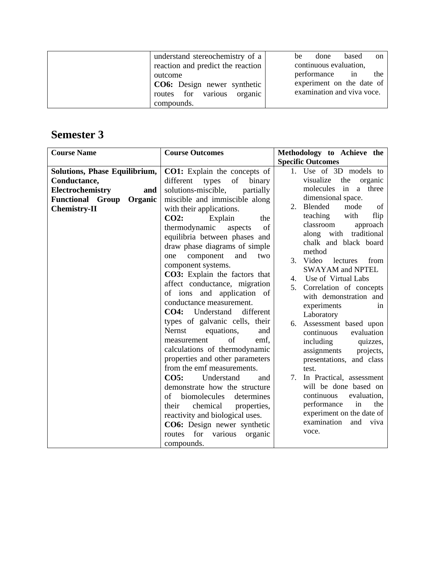| understand stereochemistry of a    | be | done                       | based | <sub>on</sub> |
|------------------------------------|----|----------------------------|-------|---------------|
| reaction and predict the reaction  |    | continuous evaluation,     |       |               |
| outcome                            |    | performance in             |       | the           |
| <b>CO6:</b> Design newer synthetic |    | experiment on the date of  |       |               |
| routes for various organic         |    | examination and viva voce. |       |               |
| compounds.                         |    |                            |       |               |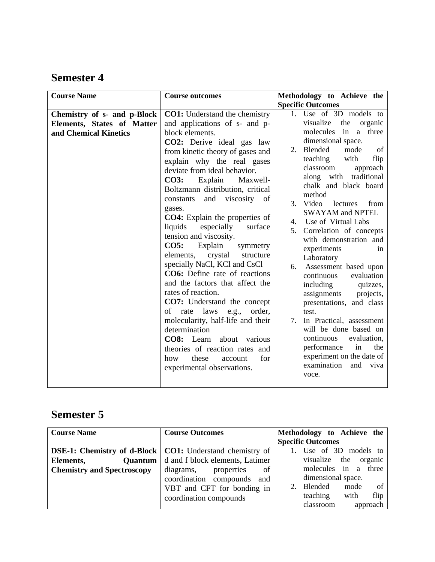| <b>Course Name</b>                                                                 | <b>Course outcomes</b>                                                                                                                                                                                                                                                                                                                                                                                                                                                                                                                                                                                                                                                                                                                                                                                                                                                                                                           | Methodology to Achieve the                                                                                                                                                                                                                                                                                                                                                                                                                                                                                                                                                                                                                                                                                                                                                                          |
|------------------------------------------------------------------------------------|----------------------------------------------------------------------------------------------------------------------------------------------------------------------------------------------------------------------------------------------------------------------------------------------------------------------------------------------------------------------------------------------------------------------------------------------------------------------------------------------------------------------------------------------------------------------------------------------------------------------------------------------------------------------------------------------------------------------------------------------------------------------------------------------------------------------------------------------------------------------------------------------------------------------------------|-----------------------------------------------------------------------------------------------------------------------------------------------------------------------------------------------------------------------------------------------------------------------------------------------------------------------------------------------------------------------------------------------------------------------------------------------------------------------------------------------------------------------------------------------------------------------------------------------------------------------------------------------------------------------------------------------------------------------------------------------------------------------------------------------------|
|                                                                                    |                                                                                                                                                                                                                                                                                                                                                                                                                                                                                                                                                                                                                                                                                                                                                                                                                                                                                                                                  | <b>Specific Outcomes</b>                                                                                                                                                                                                                                                                                                                                                                                                                                                                                                                                                                                                                                                                                                                                                                            |
| Chemistry of s- and p-Block<br>Elements, States of Matter<br>and Chemical Kinetics | <b>CO1:</b> Understand the chemistry<br>and applications of s- and p-<br>block elements.<br><b>CO2:</b> Derive ideal gas law<br>from kinetic theory of gases and<br>explain why the real gases<br>deviate from ideal behavior.<br><b>CO3:</b><br>Explain<br>Maxwell-<br>Boltzmann distribution, critical<br>and viscosity<br>constants<br>of<br>gases.<br><b>CO4</b> : Explain the properties of<br>liquids<br>especially<br>surface<br>tension and viscosity.<br>$CO5$ :<br>Explain<br>symmetry<br>elements,<br>crystal<br>structure<br>specially NaCl, KCl and CsCl<br><b>CO6:</b> Define rate of reactions<br>and the factors that affect the<br>rates of reaction.<br><b>CO7:</b> Understand the concept<br>of rate laws e.g.,<br>order,<br>molecularity, half-life and their<br>determination<br>CO8: Learn about various<br>theories of reaction rates and<br>for<br>these<br>how<br>account<br>experimental observations. | 1. Use of 3D models to<br>visualize<br>the<br>organic<br>molecules<br>in a three<br>dimensional space.<br>Blended<br>mode<br>2.<br>of<br>teaching<br>with<br>flip<br>classroom<br>approach<br>along with traditional<br>chalk and black board<br>method<br>3. Video<br>lectures<br>from<br><b>SWAYAM and NPTEL</b><br>Use of Virtual Labs<br>4.<br>Correlation of concepts<br>5 <sub>1</sub><br>with demonstration and<br>experiments<br>1n<br>Laboratory<br>Assessment based upon<br>6.<br>continuous<br>evaluation<br>including<br>quizzes,<br>assignments<br>projects,<br>presentations, and class<br>test.<br>7. In Practical, assessment<br>will be done based on<br>continuous<br>evaluation,<br>performance<br>in<br>the<br>experiment on the date of<br>examination<br>and<br>viva<br>voce. |

| <b>Course Name</b>                | <b>Course Outcomes</b>                                            | Methodology to Achieve the       |
|-----------------------------------|-------------------------------------------------------------------|----------------------------------|
|                                   |                                                                   | <b>Specific Outcomes</b>         |
|                                   | <b>DSE-1: Chemistry of d-Block   CO1: Understand chemistry of</b> | Use of 3D models to              |
| Elements,                         | <b>Quantum</b> d and f block elements, Latimer                    | the<br>visualize<br>organic      |
| <b>Chemistry and Spectroscopy</b> | of<br>diagrams,<br>properties                                     | molecules in a<br>three          |
|                                   | coordination compounds and                                        | dimensional space.               |
|                                   | VBT and CFT for bonding in                                        | <sub>of</sub><br>Blended<br>mode |
|                                   | coordination compounds                                            | teaching<br>flip<br>with         |
|                                   |                                                                   | classroom<br>approach            |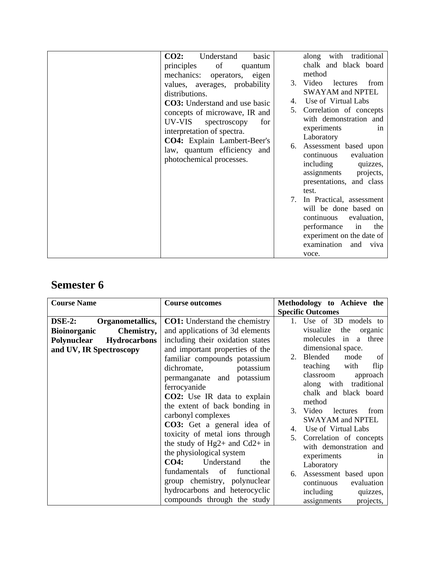| <b>CO2:</b><br>Understand<br>basic    | with<br>traditional<br>along    |
|---------------------------------------|---------------------------------|
|                                       |                                 |
| of<br>principles<br>quantum           | chalk and black board           |
| mechanics: operators, eigen           | method                          |
| values, averages, probability         | Video<br>lectures<br>3.<br>from |
| distributions.                        | <b>SWAYAM and NPTEL</b>         |
|                                       | Use of Virtual Labs<br>4.       |
| <b>CO3</b> : Understand and use basic | Correlation of concepts<br>5.   |
| concepts of microwave, IR and         |                                 |
| UV-VIS<br>for<br>spectroscopy         | with demonstration and          |
| interpretation of spectra.            | experiments<br>1n               |
| <b>CO4:</b> Explain Lambert-Beer's    | Laboratory                      |
|                                       | Assessment based upon<br>6.     |
| law, quantum efficiency and           | evaluation<br>continuous        |
| photochemical processes.              | including<br>quizzes,           |
|                                       |                                 |
|                                       | assignments<br>projects,        |
|                                       | presentations, and class        |
|                                       | test.                           |
|                                       | In Practical, assessment<br>7.  |
|                                       | will be done based on           |
|                                       | continuous<br>evaluation,       |
|                                       |                                 |
|                                       | performance<br>the<br>in        |
|                                       | experiment on the date of       |
|                                       | examination<br>and<br>viva      |
|                                       | voce.                           |

| <b>Course Name</b>                      | <b>Course outcomes</b>                   | Methodology to Achieve the                              |
|-----------------------------------------|------------------------------------------|---------------------------------------------------------|
|                                         |                                          | <b>Specific Outcomes</b>                                |
| $\bf$ <b>DSE-2:</b><br>Organometallics, | <b>CO1:</b> Understand the chemistry     | Use of 3D models to                                     |
| Chemistry,<br><b>Bioinorganic</b>       | and applications of 3d elements          | visualize<br>the<br>organic                             |
| Polynuclear<br><b>Hydrocarbons</b>      | including their oxidation states         | molecules in<br>three<br>a.                             |
| and UV, IR Spectroscopy                 | and important properties of the          | dimensional space.                                      |
|                                         | familiar compounds potassium             | 2. Blended<br>mode<br>- of                              |
|                                         | dichromate,<br>potassium                 | teaching<br>with<br>flip                                |
|                                         | permanganate and potassium               | classroom<br>approach                                   |
|                                         | ferrocyanide                             | along with traditional                                  |
|                                         | CO2: Use IR data to explain              | chalk and black board                                   |
|                                         | the extent of back bonding in            | method                                                  |
|                                         | carbonyl complexes                       | 3.<br>Video<br>lectures<br>from                         |
|                                         | <b>CO3:</b> Get a general idea of        | <b>SWAYAM and NPTEL</b>                                 |
|                                         | toxicity of metal ions through           | 4. Use of Virtual Labs                                  |
|                                         | the study of Hg2+ and Cd2+ in            | 5.<br>Correlation of concepts                           |
|                                         | the physiological system                 | with demonstration and                                  |
|                                         | <b>CO4:</b><br>Understand<br>the         | experiments<br>1n                                       |
|                                         | $\circ$ of<br>fundamentals<br>functional | Laboratory                                              |
|                                         | group chemistry, polynuclear             | Assessment based upon<br>6.<br>continuous<br>evaluation |
|                                         | hydrocarbons and heterocyclic            | including<br>quizzes,                                   |
|                                         | compounds through the study              | projects,<br>assignments                                |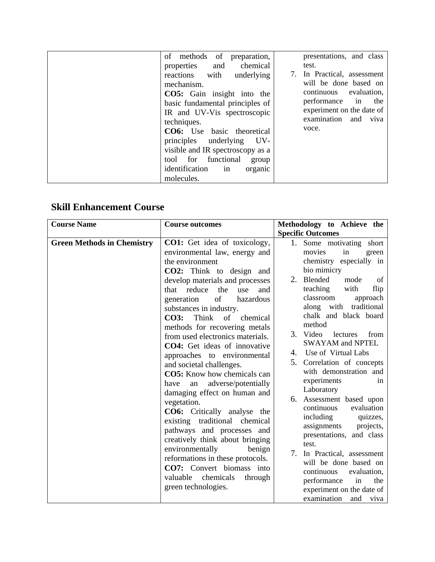| of methods of<br>preparation,<br>chemical<br>properties and<br>reactions with<br>underlying<br>mechanism.<br>CO5: Gain insight into the<br>basic fundamental principles of<br>IR and UV-Vis spectroscopic<br>techniques.<br><b>CO6:</b> Use basic theoretical<br>principles underlying<br>UV-<br>visible and IR spectroscopy as a<br>tool for functional<br>group<br>identification<br>in<br>organic | presentations, and class<br>test.<br>In Practical, assessment<br>will be done based on<br>evaluation,<br>continuous<br>in<br>performance<br>the<br>experiment on the date of<br>examination<br>and<br>viva<br>voce. |
|------------------------------------------------------------------------------------------------------------------------------------------------------------------------------------------------------------------------------------------------------------------------------------------------------------------------------------------------------------------------------------------------------|---------------------------------------------------------------------------------------------------------------------------------------------------------------------------------------------------------------------|
| molecules.                                                                                                                                                                                                                                                                                                                                                                                           |                                                                                                                                                                                                                     |

#### **Skill Enhancement Course**

| <b>Course Name</b>                | <b>Course outcomes</b>                                                                                                                                                                                                                                                                                                                                                                                                                                                                                                                                                                                                                                                                                                                                                                                                                                                                  | Methodology to Achieve the                                                                                                                                                                                                                                                                                                                                                                                                                                                                                                                                                                                                                                                                                                                                             |
|-----------------------------------|-----------------------------------------------------------------------------------------------------------------------------------------------------------------------------------------------------------------------------------------------------------------------------------------------------------------------------------------------------------------------------------------------------------------------------------------------------------------------------------------------------------------------------------------------------------------------------------------------------------------------------------------------------------------------------------------------------------------------------------------------------------------------------------------------------------------------------------------------------------------------------------------|------------------------------------------------------------------------------------------------------------------------------------------------------------------------------------------------------------------------------------------------------------------------------------------------------------------------------------------------------------------------------------------------------------------------------------------------------------------------------------------------------------------------------------------------------------------------------------------------------------------------------------------------------------------------------------------------------------------------------------------------------------------------|
|                                   |                                                                                                                                                                                                                                                                                                                                                                                                                                                                                                                                                                                                                                                                                                                                                                                                                                                                                         | <b>Specific Outcomes</b>                                                                                                                                                                                                                                                                                                                                                                                                                                                                                                                                                                                                                                                                                                                                               |
| <b>Green Methods in Chemistry</b> | <b>CO1:</b> Get idea of toxicology,<br>environmental law, energy and<br>the environment<br>CO2: Think to design and<br>develop materials and processes<br>reduce<br>the<br>and<br>that<br>use<br>generation<br>of<br>hazardous<br>substances in industry.<br>Think<br>of<br><b>CO3:</b><br>chemical<br>methods for recovering metals<br>from used electronics materials.<br>CO4: Get ideas of innovative<br>approaches to environmental<br>and societal challenges.<br><b>CO5:</b> Know how chemicals can<br>adverse/potentially<br>have<br>an<br>damaging effect on human and<br>vegetation.<br>CO6: Critically analyse the<br>existing traditional chemical<br>pathways and processes and<br>creatively think about bringing<br>environmentally<br>benign<br>reformations in these protocols.<br>CO7: Convert biomass into<br>valuable<br>chemicals<br>through<br>green technologies. | 1. Some motivating short<br>movies<br>in<br>green<br>chemistry especially in<br>bio mimicry<br>Blended<br>mode<br>2.<br>of<br>teaching<br>with<br>flip<br>classroom<br>approach<br>traditional<br>along with<br>chalk and black board<br>method<br>3. Video<br>from<br>lectures<br><b>SWAYAM and NPTEL</b><br>Use of Virtual Labs<br>4.<br>5.<br>Correlation of concepts<br>with demonstration and<br>experiments<br>in<br>Laboratory<br>Assessment based upon<br>6.<br>continuous<br>evaluation<br>including<br>quizzes,<br>assignments<br>projects,<br>presentations, and class<br>test.<br>7.<br>In Practical, assessment<br>will be done based on<br>continuous<br>evaluation,<br>performance<br>the<br>in<br>experiment on the date of<br>examination<br>and viva |